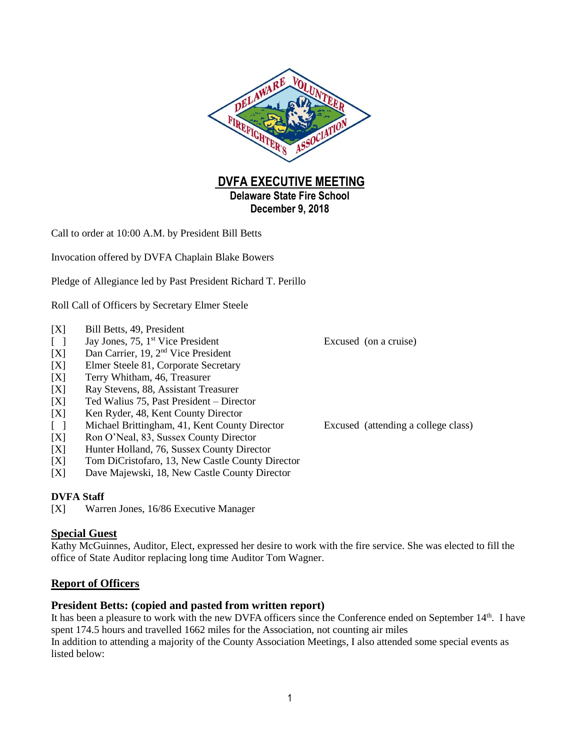

**DVFA EXECUTIVE MEETING Delaware State Fire School December 9, 2018**

Call to order at 10:00 A.M. by President Bill Betts

Invocation offered by DVFA Chaplain Blake Bowers

Pledge of Allegiance led by Past President Richard T. Perillo

Roll Call of Officers by Secretary Elmer Steele

- [X] Bill Betts, 49, President
- $\lceil \quad \rceil$  Jay Jones, 75, 1<sup>st</sup> Vice President
- [X] Dan Carrier, 19, 2nd Vice President
- [X] Elmer Steele 81, Corporate Secretary
- [X] Terry Whitham, 46, Treasurer
- [X] Ray Stevens, 88, Assistant Treasurer
- [X] Ted Walius 75, Past President Director
- [X] Ken Ryder, 48, Kent County Director
- [ ] Michael Brittingham, 41, Kent County Director Excused (attending a college class)
- [X] Ron O'Neal, 83, Sussex County Director
- [X] Hunter Holland, 76, Sussex County Director
- [X] Tom DiCristofaro, 13, New Castle County Director
- [X] Dave Majewski, 18, New Castle County Director

#### **DVFA Staff**

[X] Warren Jones, 16/86 Executive Manager

### **Special Guest**

Kathy McGuinnes, Auditor, Elect, expressed her desire to work with the fire service. She was elected to fill the office of State Auditor replacing long time Auditor Tom Wagner.

#### **Report of Officers**

#### **President Betts: (copied and pasted from written report)**

It has been a pleasure to work with the new DVFA officers since the Conference ended on September 14th. I have spent 174.5 hours and travelled 1662 miles for the Association, not counting air miles In addition to attending a majority of the County Association Meetings, I also attended some special events as listed below:

Excused (on a cruise)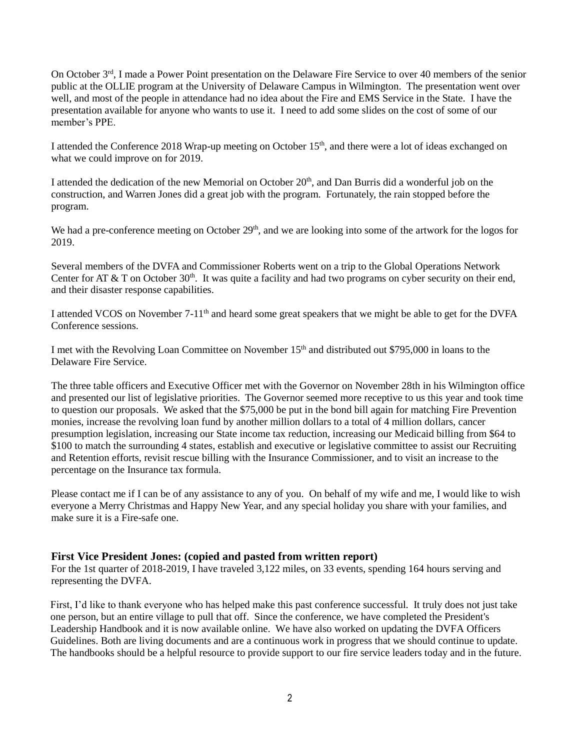On October 3rd, I made a Power Point presentation on the Delaware Fire Service to over 40 members of the senior public at the OLLIE program at the University of Delaware Campus in Wilmington. The presentation went over well, and most of the people in attendance had no idea about the Fire and EMS Service in the State. I have the presentation available for anyone who wants to use it. I need to add some slides on the cost of some of our member's PPE.

I attended the Conference 2018 Wrap-up meeting on October 15th, and there were a lot of ideas exchanged on what we could improve on for 2019.

I attended the dedication of the new Memorial on October  $20<sup>th</sup>$ , and Dan Burris did a wonderful job on the construction, and Warren Jones did a great job with the program. Fortunately, the rain stopped before the program.

We had a pre-conference meeting on October 29<sup>th</sup>, and we are looking into some of the artwork for the logos for 2019.

Several members of the DVFA and Commissioner Roberts went on a trip to the Global Operations Network Center for AT & T on October 30<sup>th</sup>. It was quite a facility and had two programs on cyber security on their end, and their disaster response capabilities.

I attended VCOS on November 7-11<sup>th</sup> and heard some great speakers that we might be able to get for the DVFA Conference sessions.

I met with the Revolving Loan Committee on November 15th and distributed out \$795,000 in loans to the Delaware Fire Service.

The three table officers and Executive Officer met with the Governor on November 28th in his Wilmington office and presented our list of legislative priorities. The Governor seemed more receptive to us this year and took time to question our proposals. We asked that the \$75,000 be put in the bond bill again for matching Fire Prevention monies, increase the revolving loan fund by another million dollars to a total of 4 million dollars, cancer presumption legislation, increasing our State income tax reduction, increasing our Medicaid billing from \$64 to \$100 to match the surrounding 4 states, establish and executive or legislative committee to assist our Recruiting and Retention efforts, revisit rescue billing with the Insurance Commissioner, and to visit an increase to the percentage on the Insurance tax formula.

Please contact me if I can be of any assistance to any of you. On behalf of my wife and me, I would like to wish everyone a Merry Christmas and Happy New Year, and any special holiday you share with your families, and make sure it is a Fire-safe one.

#### **First Vice President Jones: (copied and pasted from written report)**

For the 1st quarter of 2018-2019, I have traveled 3,122 miles, on 33 events, spending 164 hours serving and representing the DVFA.

First, I'd like to thank everyone who has helped make this past conference successful. It truly does not just take one person, but an entire village to pull that off. Since the conference, we have completed the President's Leadership Handbook and it is now available online. We have also worked on updating the DVFA Officers Guidelines. Both are living documents and are a continuous work in progress that we should continue to update. The handbooks should be a helpful resource to provide support to our fire service leaders today and in the future.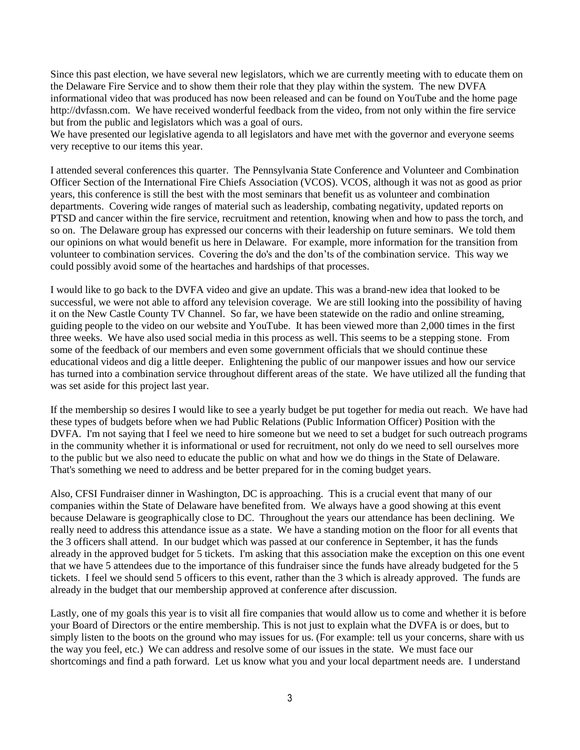Since this past election, we have several new legislators, which we are currently meeting with to educate them on the Delaware Fire Service and to show them their role that they play within the system. The new DVFA informational video that was produced has now been released and can be found on YouTube and the home page http://dvfassn.com. We have received wonderful feedback from the video, from not only within the fire service but from the public and legislators which was a goal of ours.

We have presented our legislative agenda to all legislators and have met with the governor and everyone seems very receptive to our items this year.

I attended several conferences this quarter. The Pennsylvania State Conference and Volunteer and Combination Officer Section of the International Fire Chiefs Association (VCOS). VCOS, although it was not as good as prior years, this conference is still the best with the most seminars that benefit us as volunteer and combination departments. Covering wide ranges of material such as leadership, combating negativity, updated reports on PTSD and cancer within the fire service, recruitment and retention, knowing when and how to pass the torch, and so on. The Delaware group has expressed our concerns with their leadership on future seminars. We told them our opinions on what would benefit us here in Delaware. For example, more information for the transition from volunteer to combination services. Covering the do's and the don'ts of the combination service. This way we could possibly avoid some of the heartaches and hardships of that processes.

I would like to go back to the DVFA video and give an update. This was a brand-new idea that looked to be successful, we were not able to afford any television coverage. We are still looking into the possibility of having it on the New Castle County TV Channel. So far, we have been statewide on the radio and online streaming, guiding people to the video on our website and YouTube. It has been viewed more than 2,000 times in the first three weeks. We have also used social media in this process as well. This seems to be a stepping stone. From some of the feedback of our members and even some government officials that we should continue these educational videos and dig a little deeper. Enlightening the public of our manpower issues and how our service has turned into a combination service throughout different areas of the state. We have utilized all the funding that was set aside for this project last year.

If the membership so desires I would like to see a yearly budget be put together for media out reach. We have had these types of budgets before when we had Public Relations (Public Information Officer) Position with the DVFA. I'm not saying that I feel we need to hire someone but we need to set a budget for such outreach programs in the community whether it is informational or used for recruitment, not only do we need to sell ourselves more to the public but we also need to educate the public on what and how we do things in the State of Delaware. That's something we need to address and be better prepared for in the coming budget years.

Also, CFSI Fundraiser dinner in Washington, DC is approaching. This is a crucial event that many of our companies within the State of Delaware have benefited from. We always have a good showing at this event because Delaware is geographically close to DC. Throughout the years our attendance has been declining. We really need to address this attendance issue as a state. We have a standing motion on the floor for all events that the 3 officers shall attend. In our budget which was passed at our conference in September, it has the funds already in the approved budget for 5 tickets. I'm asking that this association make the exception on this one event that we have 5 attendees due to the importance of this fundraiser since the funds have already budgeted for the 5 tickets. I feel we should send 5 officers to this event, rather than the 3 which is already approved. The funds are already in the budget that our membership approved at conference after discussion.

Lastly, one of my goals this year is to visit all fire companies that would allow us to come and whether it is before your Board of Directors or the entire membership. This is not just to explain what the DVFA is or does, but to simply listen to the boots on the ground who may issues for us. (For example: tell us your concerns, share with us the way you feel, etc.) We can address and resolve some of our issues in the state. We must face our shortcomings and find a path forward. Let us know what you and your local department needs are. I understand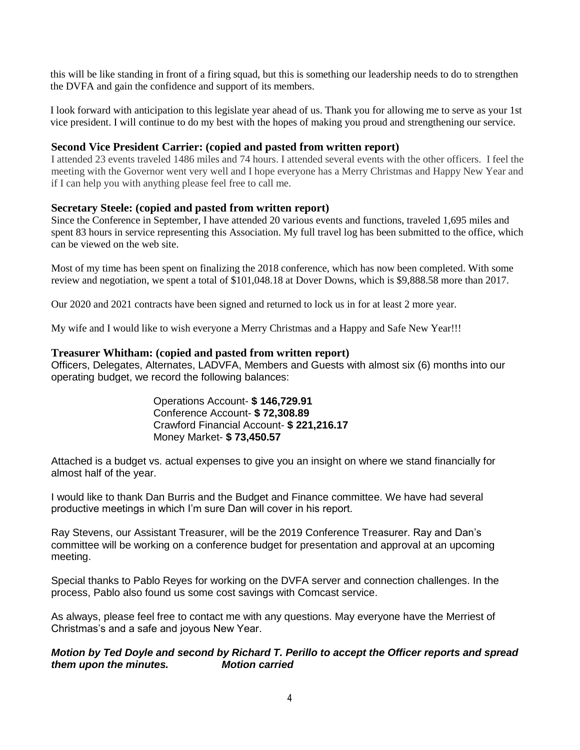this will be like standing in front of a firing squad, but this is something our leadership needs to do to strengthen the DVFA and gain the confidence and support of its members.

I look forward with anticipation to this legislate year ahead of us. Thank you for allowing me to serve as your 1st vice president. I will continue to do my best with the hopes of making you proud and strengthening our service.

### **Second Vice President Carrier: (copied and pasted from written report)**

I attended 23 events traveled 1486 miles and 74 hours. I attended several events with the other officers. I feel the meeting with the Governor went very well and I hope everyone has a Merry Christmas and Happy New Year and if I can help you with anything please feel free to call me.

### **Secretary Steele: (copied and pasted from written report)**

Since the Conference in September, I have attended 20 various events and functions, traveled 1,695 miles and spent 83 hours in service representing this Association. My full travel log has been submitted to the office, which can be viewed on the web site.

Most of my time has been spent on finalizing the 2018 conference, which has now been completed. With some review and negotiation, we spent a total of \$101,048.18 at Dover Downs, which is \$9,888.58 more than 2017.

Our 2020 and 2021 contracts have been signed and returned to lock us in for at least 2 more year.

My wife and I would like to wish everyone a Merry Christmas and a Happy and Safe New Year!!!

#### **Treasurer Whitham: (copied and pasted from written report)**

Officers, Delegates, Alternates, LADVFA, Members and Guests with almost six (6) months into our operating budget, we record the following balances:

> Operations Account- **\$ 146,729.91** Conference Account- **\$ 72,308.89** Crawford Financial Account- **\$ 221,216.17** Money Market- **\$ 73,450.57**

Attached is a budget vs. actual expenses to give you an insight on where we stand financially for almost half of the year.

I would like to thank Dan Burris and the Budget and Finance committee. We have had several productive meetings in which I'm sure Dan will cover in his report.

Ray Stevens, our Assistant Treasurer, will be the 2019 Conference Treasurer. Ray and Dan's committee will be working on a conference budget for presentation and approval at an upcoming meeting.

Special thanks to Pablo Reyes for working on the DVFA server and connection challenges. In the process, Pablo also found us some cost savings with Comcast service.

As always, please feel free to contact me with any questions. May everyone have the Merriest of Christmas's and a safe and joyous New Year.

### *Motion by Ted Doyle and second by Richard T. Perillo to accept the Officer reports and spread them upon the minutes. Motion carried*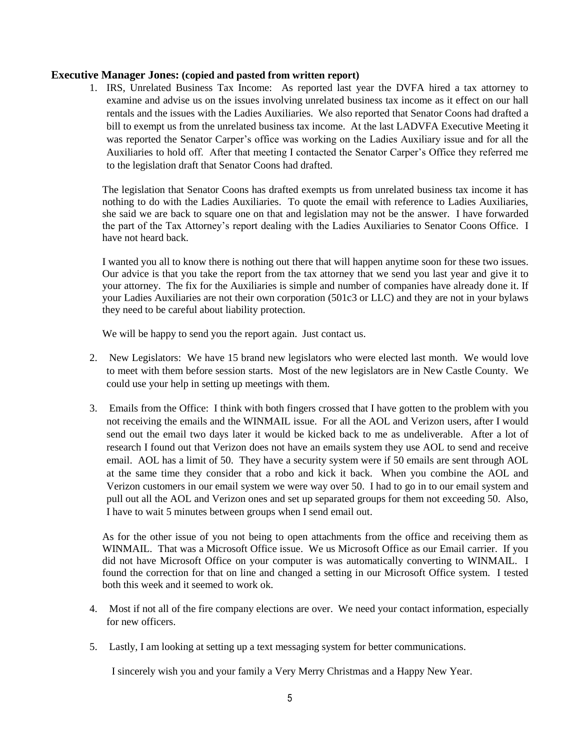#### **Executive Manager Jones: (copied and pasted from written report)**

1. IRS, Unrelated Business Tax Income: As reported last year the DVFA hired a tax attorney to examine and advise us on the issues involving unrelated business tax income as it effect on our hall rentals and the issues with the Ladies Auxiliaries. We also reported that Senator Coons had drafted a bill to exempt us from the unrelated business tax income. At the last LADVFA Executive Meeting it was reported the Senator Carper's office was working on the Ladies Auxiliary issue and for all the Auxiliaries to hold off. After that meeting I contacted the Senator Carper's Office they referred me to the legislation draft that Senator Coons had drafted.

The legislation that Senator Coons has drafted exempts us from unrelated business tax income it has nothing to do with the Ladies Auxiliaries. To quote the email with reference to Ladies Auxiliaries, she said we are back to square one on that and legislation may not be the answer. I have forwarded the part of the Tax Attorney's report dealing with the Ladies Auxiliaries to Senator Coons Office. I have not heard back.

I wanted you all to know there is nothing out there that will happen anytime soon for these two issues. Our advice is that you take the report from the tax attorney that we send you last year and give it to your attorney. The fix for the Auxiliaries is simple and number of companies have already done it. If your Ladies Auxiliaries are not their own corporation (501c3 or LLC) and they are not in your bylaws they need to be careful about liability protection.

We will be happy to send you the report again. Just contact us.

- 2. New Legislators: We have 15 brand new legislators who were elected last month. We would love to meet with them before session starts. Most of the new legislators are in New Castle County. We could use your help in setting up meetings with them.
- 3. Emails from the Office: I think with both fingers crossed that I have gotten to the problem with you not receiving the emails and the WINMAIL issue. For all the AOL and Verizon users, after I would send out the email two days later it would be kicked back to me as undeliverable. After a lot of research I found out that Verizon does not have an emails system they use AOL to send and receive email. AOL has a limit of 50. They have a security system were if 50 emails are sent through AOL at the same time they consider that a robo and kick it back. When you combine the AOL and Verizon customers in our email system we were way over 50. I had to go in to our email system and pull out all the AOL and Verizon ones and set up separated groups for them not exceeding 50. Also, I have to wait 5 minutes between groups when I send email out.

As for the other issue of you not being to open attachments from the office and receiving them as WINMAIL. That was a Microsoft Office issue. We us Microsoft Office as our Email carrier. If you did not have Microsoft Office on your computer is was automatically converting to WINMAIL. I found the correction for that on line and changed a setting in our Microsoft Office system. I tested both this week and it seemed to work ok.

- 4. Most if not all of the fire company elections are over. We need your contact information, especially for new officers.
- 5. Lastly, I am looking at setting up a text messaging system for better communications.

I sincerely wish you and your family a Very Merry Christmas and a Happy New Year.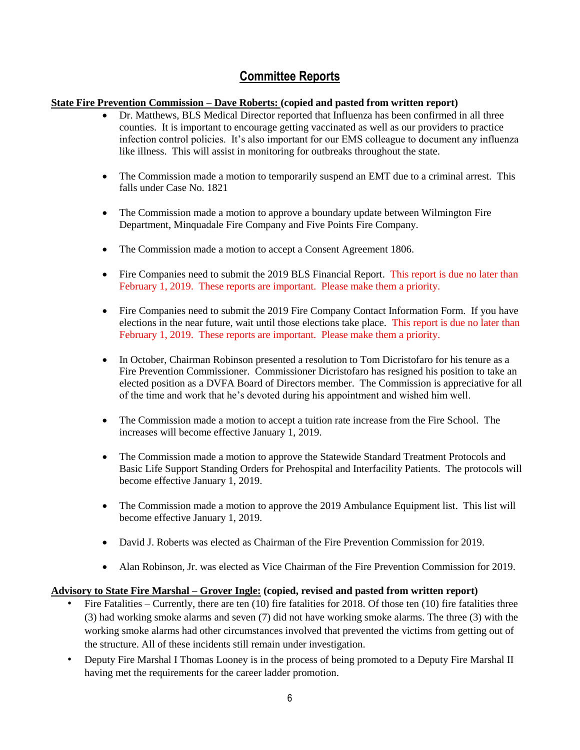# **Committee Reports**

# **State Fire Prevention Commission – Dave Roberts: (copied and pasted from written report)**

- Dr. Matthews, BLS Medical Director reported that Influenza has been confirmed in all three counties. It is important to encourage getting vaccinated as well as our providers to practice infection control policies. It's also important for our EMS colleague to document any influenza like illness. This will assist in monitoring for outbreaks throughout the state.
- The Commission made a motion to temporarily suspend an EMT due to a criminal arrest. This falls under Case No. 1821
- The Commission made a motion to approve a boundary update between Wilmington Fire Department, Minquadale Fire Company and Five Points Fire Company.
- The Commission made a motion to accept a Consent Agreement 1806.
- Fire Companies need to submit the 2019 BLS Financial Report. This report is due no later than February 1, 2019. These reports are important. Please make them a priority.
- Fire Companies need to submit the 2019 Fire Company Contact Information Form. If you have elections in the near future, wait until those elections take place. This report is due no later than February 1, 2019. These reports are important. Please make them a priority.
- In October, Chairman Robinson presented a resolution to Tom Dicristofaro for his tenure as a Fire Prevention Commissioner. Commissioner Dicristofaro has resigned his position to take an elected position as a DVFA Board of Directors member. The Commission is appreciative for all of the time and work that he's devoted during his appointment and wished him well.
- The Commission made a motion to accept a tuition rate increase from the Fire School. The increases will become effective January 1, 2019.
- The Commission made a motion to approve the Statewide Standard Treatment Protocols and Basic Life Support Standing Orders for Prehospital and Interfacility Patients. The protocols will become effective January 1, 2019.
- The Commission made a motion to approve the 2019 Ambulance Equipment list. This list will become effective January 1, 2019.
- David J. Roberts was elected as Chairman of the Fire Prevention Commission for 2019.
- Alan Robinson, Jr. was elected as Vice Chairman of the Fire Prevention Commission for 2019.

# **Advisory to State Fire Marshal – Grover Ingle: (copied, revised and pasted from written report)**

- Fire Fatalities Currently, there are ten (10) fire fatalities for 2018. Of those ten (10) fire fatalities three (3) had working smoke alarms and seven (7) did not have working smoke alarms. The three (3) with the working smoke alarms had other circumstances involved that prevented the victims from getting out of the structure. All of these incidents still remain under investigation.
- Deputy Fire Marshal I Thomas Looney is in the process of being promoted to a Deputy Fire Marshal II having met the requirements for the career ladder promotion.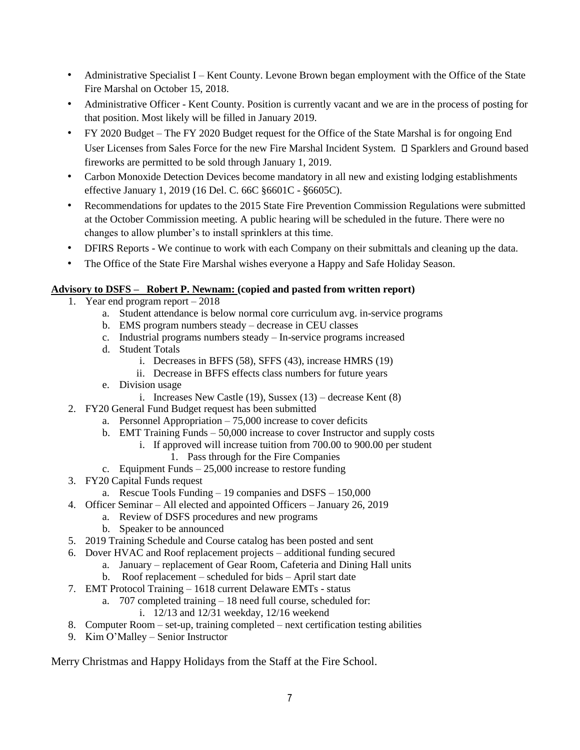- Administrative Specialist I Kent County. Levone Brown began employment with the Office of the State Fire Marshal on October 15, 2018.
- Administrative Officer Kent County. Position is currently vacant and we are in the process of posting for that position. Most likely will be filled in January 2019.
- FY 2020 Budget The FY 2020 Budget request for the Office of the State Marshal is for ongoing End User Licenses from Sales Force for the new Fire Marshal Incident System.  $\square$  Sparklers and Ground based fireworks are permitted to be sold through January 1, 2019.
- Carbon Monoxide Detection Devices become mandatory in all new and existing lodging establishments effective January 1, 2019 (16 Del. C. 66C §6601C - §6605C).
- Recommendations for updates to the 2015 State Fire Prevention Commission Regulations were submitted at the October Commission meeting. A public hearing will be scheduled in the future. There were no changes to allow plumber's to install sprinklers at this time.
- DFIRS Reports We continue to work with each Company on their submittals and cleaning up the data.
- The Office of the State Fire Marshal wishes everyone a Happy and Safe Holiday Season.

# **Advisory to DSFS – Robert P. Newnam: (copied and pasted from written report)**

- 1. Year end program report 2018
	- a. Student attendance is below normal core curriculum avg. in-service programs
	- b. EMS program numbers steady decrease in CEU classes
	- c. Industrial programs numbers steady In-service programs increased
	- d. Student Totals
		- i. Decreases in BFFS (58), SFFS (43), increase HMRS (19)
		- ii. Decrease in BFFS effects class numbers for future years
	- e. Division usage
		- i. Increases New Castle  $(19)$ , Sussex  $(13)$  decrease Kent  $(8)$
- 2. FY20 General Fund Budget request has been submitted
	- a. Personnel Appropriation 75,000 increase to cover deficits
	- b. EMT Training Funds 50,000 increase to cover Instructor and supply costs
		- i. If approved will increase tuition from 700.00 to 900.00 per student
			- 1. Pass through for the Fire Companies
	- c. Equipment Funds  $-25,000$  increase to restore funding
- 3. FY20 Capital Funds request
	- a. Rescue Tools Funding 19 companies and DSFS 150,000
- 4. Officer Seminar All elected and appointed Officers January 26, 2019
	- a. Review of DSFS procedures and new programs
	- b. Speaker to be announced
- 5. 2019 Training Schedule and Course catalog has been posted and sent
- 6. Dover HVAC and Roof replacement projects additional funding secured
	- a. January replacement of Gear Room, Cafeteria and Dining Hall units
	- b. Roof replacement scheduled for bids April start date
- 7. EMT Protocol Training 1618 current Delaware EMTs status
	- a. 707 completed training 18 need full course, scheduled for:
		- i. 12/13 and 12/31 weekday, 12/16 weekend
- 8. Computer Room set-up, training completed next certification testing abilities
- 9. Kim O'Malley Senior Instructor

Merry Christmas and Happy Holidays from the Staff at the Fire School.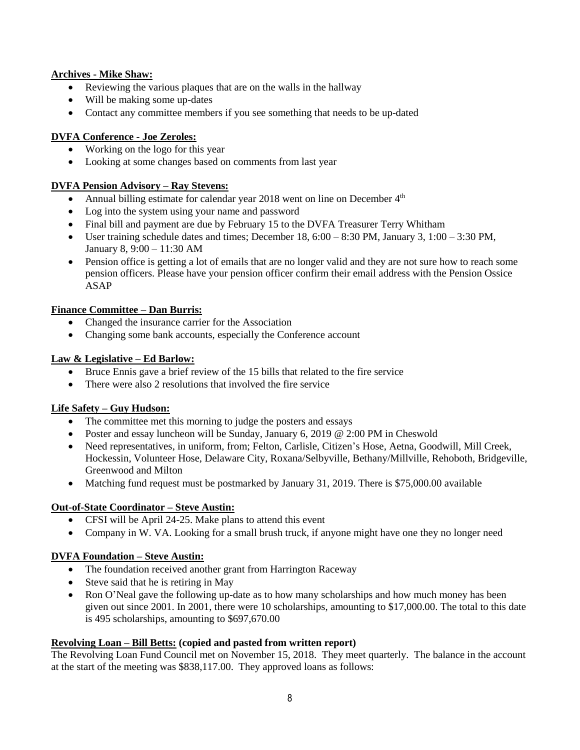### **Archives - Mike Shaw:**

- Reviewing the various plaques that are on the walls in the hallway
- Will be making some up-dates
- Contact any committee members if you see something that needs to be up-dated

#### **DVFA Conference - Joe Zeroles:**

- Working on the logo for this year
- Looking at some changes based on comments from last year

#### **DVFA Pension Advisory – Ray Stevens:**

- Annual billing estimate for calendar year 2018 went on line on December  $4<sup>th</sup>$
- Log into the system using your name and password
- Final bill and payment are due by February 15 to the DVFA Treasurer Terry Whitham
- User training schedule dates and times; December 18,  $6:00 8:30$  PM, January 3,  $1:00 3:30$  PM, January 8, 9:00 – 11:30 AM
- Pension office is getting a lot of emails that are no longer valid and they are not sure how to reach some pension officers. Please have your pension officer confirm their email address with the Pension Ossice ASAP

### **Finance Committee – Dan Burris:**

- Changed the insurance carrier for the Association
- Changing some bank accounts, especially the Conference account

### **Law & Legislative – Ed Barlow:**

- Bruce Ennis gave a brief review of the 15 bills that related to the fire service
- There were also 2 resolutions that involved the fire service

#### **Life Safety – Guy Hudson:**

- The committee met this morning to judge the posters and essays
- Poster and essay luncheon will be Sunday, January 6, 2019 @ 2:00 PM in Cheswold
- Need representatives, in uniform, from; Felton, Carlisle, Citizen's Hose, Aetna, Goodwill, Mill Creek, Hockessin, Volunteer Hose, Delaware City, Roxana/Selbyville, Bethany/Millville, Rehoboth, Bridgeville, Greenwood and Milton
- Matching fund request must be postmarked by January 31, 2019. There is \$75,000.00 available

# **Out-of-State Coordinator – Steve Austin:**

- CFSI will be April 24-25. Make plans to attend this event
- Company in W. VA. Looking for a small brush truck, if anyone might have one they no longer need

#### **DVFA Foundation – Steve Austin:**

- The foundation received another grant from Harrington Raceway
- Steve said that he is retiring in May
- Ron O'Neal gave the following up-date as to how many scholarships and how much money has been given out since 2001. In 2001, there were 10 scholarships, amounting to \$17,000.00. The total to this date is 495 scholarships, amounting to \$697,670.00

#### **Revolving Loan – Bill Betts: (copied and pasted from written report)**

The Revolving Loan Fund Council met on November 15, 2018. They meet quarterly. The balance in the account at the start of the meeting was \$838,117.00. They approved loans as follows: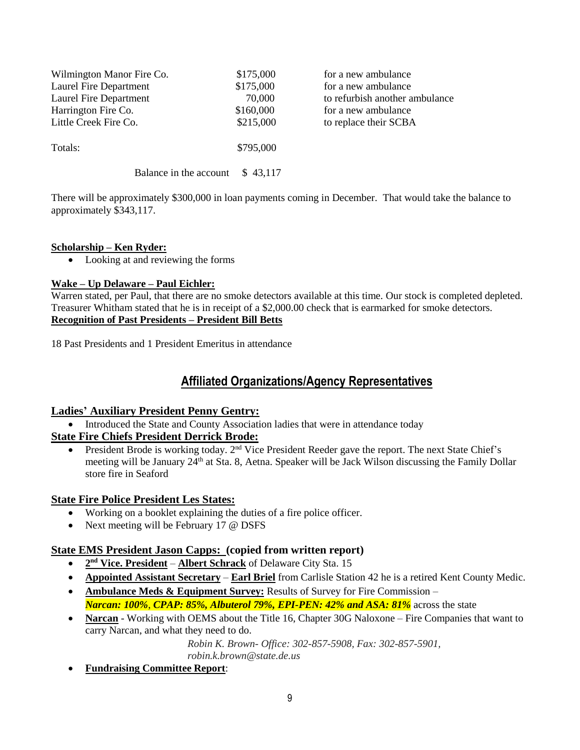| Wilmington Manor Fire Co. | \$175,000 | for a new ambulance            |
|---------------------------|-----------|--------------------------------|
| Laurel Fire Department    | \$175,000 | for a new ambulance            |
| Laurel Fire Department    | 70,000    | to refurbish another ambulance |
| Harrington Fire Co.       | \$160,000 | for a new ambulance            |
| Little Creek Fire Co.     | \$215,000 | to replace their SCBA          |
| Totals:                   | \$795,000 |                                |
| Balance in the account    | \$43.117  |                                |

There will be approximately \$300,000 in loan payments coming in December. That would take the balance to approximately \$343,117.

### **Scholarship – Ken Ryder:**

• Looking at and reviewing the forms

### **Wake – Up Delaware – Paul Eichler:**

Warren stated, per Paul, that there are no smoke detectors available at this time. Our stock is completed depleted. Treasurer Whitham stated that he is in receipt of a \$2,000.00 check that is earmarked for smoke detectors. **Recognition of Past Presidents – President Bill Betts**

18 Past Presidents and 1 President Emeritus in attendance

# **Affiliated Organizations/Agency Representatives**

# **Ladies' Auxiliary President Penny Gentry:**

• Introduced the State and County Association ladies that were in attendance today

# **State Fire Chiefs President Derrick Brode:**

President Brode is working today. 2<sup>nd</sup> Vice President Reeder gave the report. The next State Chief's meeting will be January 24<sup>th</sup> at Sta. 8, Aetna. Speaker will be Jack Wilson discussing the Family Dollar store fire in Seaford

#### **State Fire Police President Les States:**

- Working on a booklet explaining the duties of a fire police officer.
- Next meeting will be February 17 @ DSFS

# **State EMS President Jason Capps: (copied from written report)**

- **2 nd Vice. President Albert Schrack** of Delaware City Sta. 15
- **Appointed Assistant Secretary Earl Briel** from Carlisle Station 42 he is a retired Kent County Medic.
- **Ambulance Meds & Equipment Survey:** Results of Survey for Fire Commission *Narcan: 100%*, *CPAP: 85%, Albuterol 79%, EPI-PEN: 42% and ASA: 81%* across the state
- **Narcan** Working with OEMS about the Title 16, Chapter 30G Naloxone Fire Companies that want to carry Narcan, and what they need to do.

*Robin K. Brown- Office: 302-857-5908, Fax: 302-857-5901, robin.k.brown@state.de.us*

• **Fundraising Committee Report**: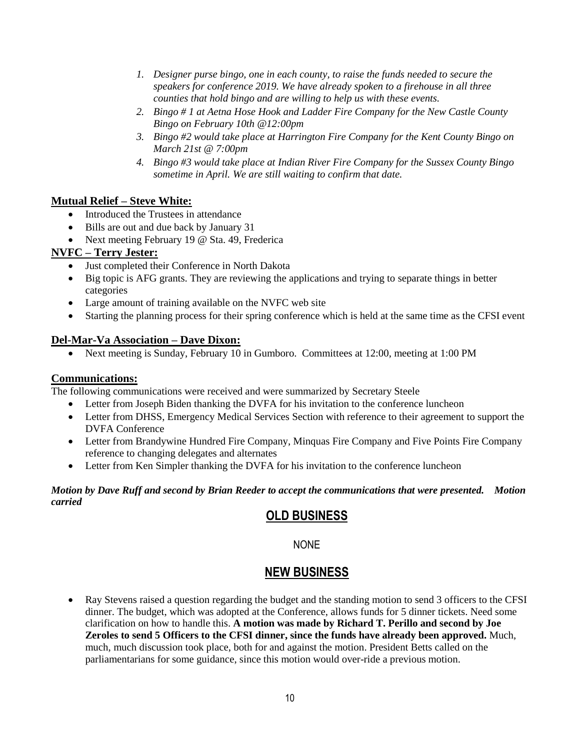- *1. Designer purse bingo, one in each county, to raise the funds needed to secure the speakers for conference 2019. We have already spoken to a firehouse in all three counties that hold bingo and are willing to help us with these events.*
- *2. Bingo # 1 at Aetna Hose Hook and Ladder Fire Company for the New Castle County Bingo on February 10th @12:00pm*
- *3. Bingo #2 would take place at Harrington Fire Company for the Kent County Bingo on March 21st @ 7:00pm*
- *4. Bingo #3 would take place at Indian River Fire Company for the Sussex County Bingo sometime in April. We are still waiting to confirm that date.*

# **Mutual Relief – Steve White:**

- Introduced the Trustees in attendance
- Bills are out and due back by January 31
- Next meeting February 19 @ Sta. 49, Frederica

# **NVFC – Terry Jester:**

- Just completed their Conference in North Dakota
- Big topic is AFG grants. They are reviewing the applications and trying to separate things in better categories
- Large amount of training available on the NVFC web site
- Starting the planning process for their spring conference which is held at the same time as the CFSI event

# **Del-Mar-Va Association – Dave Dixon:**

• Next meeting is Sunday, February 10 in Gumboro. Committees at 12:00, meeting at 1:00 PM

# **Communications:**

The following communications were received and were summarized by Secretary Steele

- Letter from Joseph Biden thanking the DVFA for his invitation to the conference luncheon
- Letter from DHSS, Emergency Medical Services Section with reference to their agreement to support the DVFA Conference
- Letter from Brandywine Hundred Fire Company, Minquas Fire Company and Five Points Fire Company reference to changing delegates and alternates
- Letter from Ken Simpler thanking the DVFA for his invitation to the conference luncheon

# *Motion by Dave Ruff and second by Brian Reeder to accept the communications that were presented. Motion carried*

# **OLD BUSINESS**

# NONE

# **NEW BUSINESS**

• Ray Stevens raised a question regarding the budget and the standing motion to send 3 officers to the CFSI dinner. The budget, which was adopted at the Conference, allows funds for 5 dinner tickets. Need some clarification on how to handle this. **A motion was made by Richard T. Perillo and second by Joe Zeroles to send 5 Officers to the CFSI dinner, since the funds have already been approved.** Much, much, much discussion took place, both for and against the motion. President Betts called on the parliamentarians for some guidance, since this motion would over-ride a previous motion.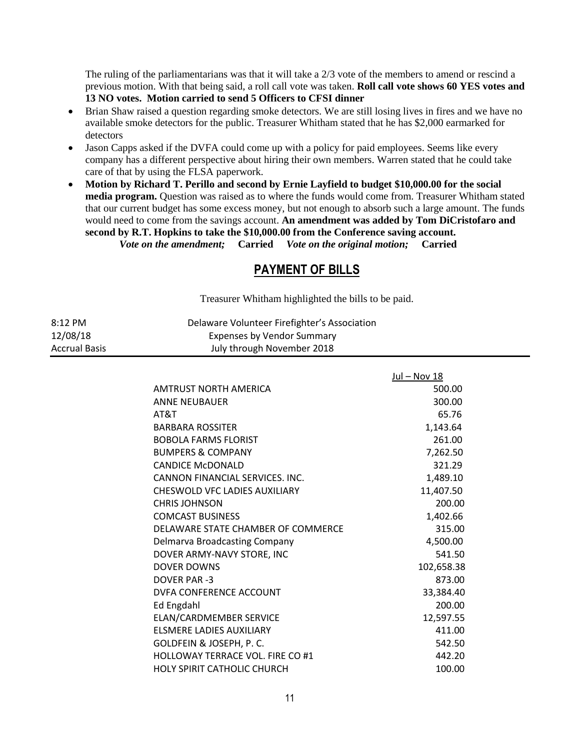The ruling of the parliamentarians was that it will take a 2/3 vote of the members to amend or rescind a previous motion. With that being said, a roll call vote was taken. **Roll call vote shows 60 YES votes and 13 NO votes. Motion carried to send 5 Officers to CFSI dinner**

- Brian Shaw raised a question regarding smoke detectors. We are still losing lives in fires and we have no available smoke detectors for the public. Treasurer Whitham stated that he has \$2,000 earmarked for detectors
- Jason Capps asked if the DVFA could come up with a policy for paid employees. Seems like every company has a different perspective about hiring their own members. Warren stated that he could take care of that by using the FLSA paperwork.
- **Motion by Richard T. Perillo and second by Ernie Layfield to budget \$10,000.00 for the social media program.** Question was raised as to where the funds would come from. Treasurer Whitham stated that our current budget has some excess money, but not enough to absorb such a large amount. The funds would need to come from the savings account. **An amendment was added by Tom DiCristofaro and second by R.T. Hopkins to take the \$10,000.00 from the Conference saving account.**  *Vote on the amendment;* **Carried** *Vote on the original motion;* **Carried**

# **PAYMENT OF BILLS**

Treasurer Whitham highlighted the bills to be paid.

| 8:12 PM       | Delaware Volunteer Firefighter's Association |
|---------------|----------------------------------------------|
| 12/08/18      | Expenses by Vendor Summary                   |
| Accrual Basis | July through November 2018                   |

|                                      | Jul - Nov 18 |
|--------------------------------------|--------------|
| AMTRUST NORTH AMERICA                | 500.00       |
| <b>ANNE NEUBAUER</b>                 | 300.00       |
| AT&T                                 | 65.76        |
| <b>BARBARA ROSSITER</b>              | 1,143.64     |
| <b>BOBOLA FARMS FLORIST</b>          | 261.00       |
| <b>BUMPERS &amp; COMPANY</b>         | 7,262.50     |
| <b>CANDICE MCDONALD</b>              | 321.29       |
| CANNON FINANCIAL SERVICES. INC.      | 1,489.10     |
| <b>CHESWOLD VFC LADIES AUXILIARY</b> | 11,407.50    |
| <b>CHRIS JOHNSON</b>                 | 200.00       |
| <b>COMCAST BUSINESS</b>              | 1,402.66     |
| DELAWARE STATE CHAMBER OF COMMERCE   | 315.00       |
| Delmarva Broadcasting Company        | 4,500.00     |
| DOVER ARMY-NAVY STORE, INC           | 541.50       |
| DOVER DOWNS                          | 102,658.38   |
| DOVER PAR -3                         | 873.00       |
| DVFA CONFERENCE ACCOUNT              | 33.384.40    |
| <b>Ed Engdahl</b>                    | 200.00       |
| ELAN/CARDMEMBER SERVICE              | 12,597.55    |
| <b>ELSMERE LADIES AUXILIARY</b>      | 411.00       |
| GOLDFEIN & JOSEPH, P. C.             | 542.50       |
| HOLLOWAY TERRACE VOL. FIRE CO #1     | 442.20       |
| <b>HOLY SPIRIT CATHOLIC CHURCH</b>   | 100.00       |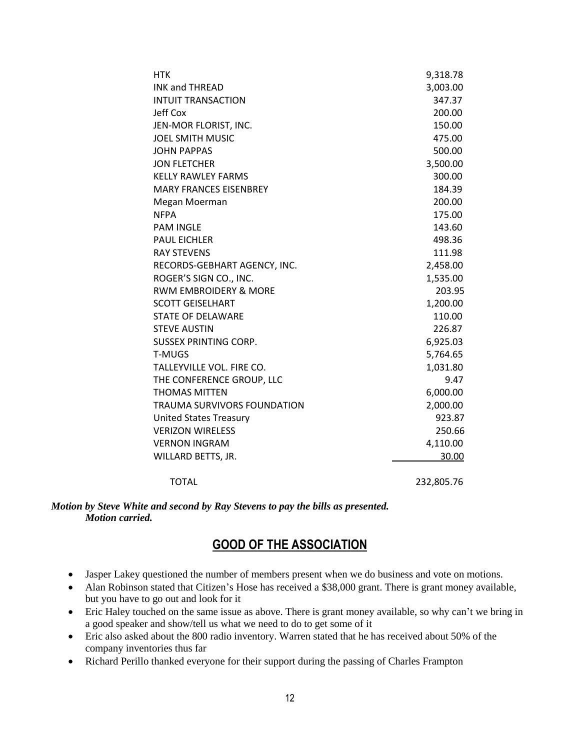| <b>HTK</b>                       | 9,318.78   |
|----------------------------------|------------|
| <b>INK and THREAD</b>            | 3,003.00   |
| <b>INTUIT TRANSACTION</b>        | 347.37     |
| <b>Jeff Cox</b>                  | 200.00     |
| JEN-MOR FLORIST, INC.            | 150.00     |
| <b>JOEL SMITH MUSIC</b>          | 475.00     |
| <b>JOHN PAPPAS</b>               | 500.00     |
| <b>JON FLETCHER</b>              | 3,500.00   |
| <b>KELLY RAWLEY FARMS</b>        | 300.00     |
| <b>MARY FRANCES EISENBREY</b>    | 184.39     |
| Megan Moerman                    | 200.00     |
| <b>NFPA</b>                      | 175.00     |
| <b>PAM INGLE</b>                 | 143.60     |
| <b>PAUL EICHLER</b>              | 498.36     |
| <b>RAY STEVENS</b>               | 111.98     |
| RECORDS-GEBHART AGENCY, INC.     | 2,458.00   |
| ROGER'S SIGN CO., INC.           | 1,535.00   |
| <b>RWM EMBROIDERY &amp; MORE</b> | 203.95     |
| <b>SCOTT GEISELHART</b>          | 1,200.00   |
| <b>STATE OF DELAWARE</b>         | 110.00     |
| <b>STEVE AUSTIN</b>              | 226.87     |
| <b>SUSSEX PRINTING CORP.</b>     | 6,925.03   |
| <b>T-MUGS</b>                    | 5,764.65   |
| TALLEYVILLE VOL. FIRE CO.        | 1,031.80   |
| THE CONFERENCE GROUP, LLC        | 9.47       |
| <b>THOMAS MITTEN</b>             | 6,000.00   |
| TRAUMA SURVIVORS FOUNDATION      | 2,000.00   |
| <b>United States Treasury</b>    | 923.87     |
| <b>VERIZON WIRELESS</b>          | 250.66     |
| <b>VERNON INGRAM</b>             | 4,110.00   |
| WILLARD BETTS, JR.               | 30.00      |
| <b>TOTAL</b>                     | 232,805.76 |

#### *Motion by Steve White and second by Ray Stevens to pay the bills as presented. Motion carried.*

# **GOOD OF THE ASSOCIATION**

- Jasper Lakey questioned the number of members present when we do business and vote on motions.
- Alan Robinson stated that Citizen's Hose has received a \$38,000 grant. There is grant money available, but you have to go out and look for it
- Eric Haley touched on the same issue as above. There is grant money available, so why can't we bring in a good speaker and show/tell us what we need to do to get some of it
- Eric also asked about the 800 radio inventory. Warren stated that he has received about 50% of the company inventories thus far
- Richard Perillo thanked everyone for their support during the passing of Charles Frampton